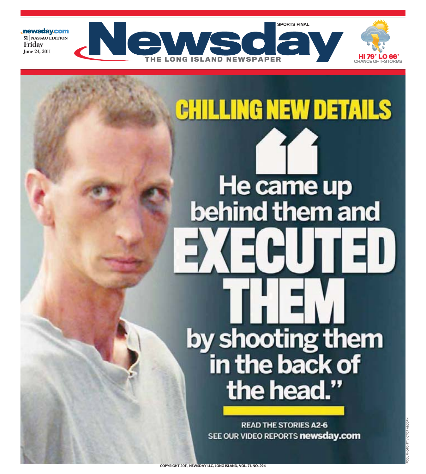

# **ILLING NEW DETAILS** He came up behind them and by shooting them in the back of the head."

**READ THE STORIES A2-6** SEE OUR VIDEO REPORTS newsday.com